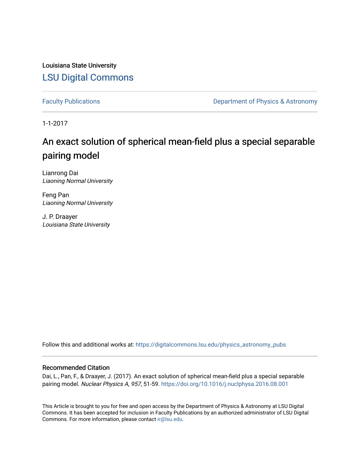Louisiana State University [LSU Digital Commons](https://digitalcommons.lsu.edu/)

[Faculty Publications](https://digitalcommons.lsu.edu/physics_astronomy_pubs) **Exercise 2 and Table 2 and Table 2 and Table 2 and Table 2 and Table 2 and Table 2 and Table 2 and Table 2 and Table 2 and Table 2 and Table 2 and Table 2 and Table 2 and Table 2 and Table 2 and Table** 

1-1-2017

# An exact solution of spherical mean-field plus a special separable pairing model

Lianrong Dai Liaoning Normal University

Feng Pan Liaoning Normal University

J. P. Draayer Louisiana State University

Follow this and additional works at: [https://digitalcommons.lsu.edu/physics\\_astronomy\\_pubs](https://digitalcommons.lsu.edu/physics_astronomy_pubs?utm_source=digitalcommons.lsu.edu%2Fphysics_astronomy_pubs%2F1691&utm_medium=PDF&utm_campaign=PDFCoverPages) 

## Recommended Citation

Dai, L., Pan, F., & Draayer, J. (2017). An exact solution of spherical mean-field plus a special separable pairing model. Nuclear Physics A, 957, 51-59.<https://doi.org/10.1016/j.nuclphysa.2016.08.001>

This Article is brought to you for free and open access by the Department of Physics & Astronomy at LSU Digital Commons. It has been accepted for inclusion in Faculty Publications by an authorized administrator of LSU Digital Commons. For more information, please contact [ir@lsu.edu](mailto:ir@lsu.edu).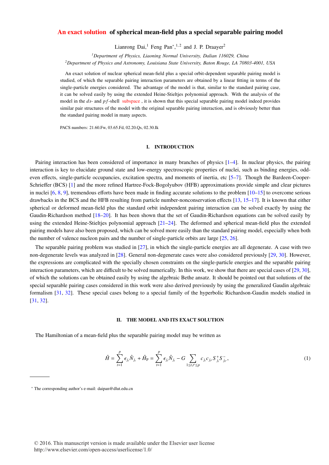## An exact solution of spherical mean-field plus a special separable pairing model

Lianrong Dai,<sup>1</sup> Feng Pan<sup>∗</sup>,<sup>1,2</sup> and J. P. Draayer<sup>2</sup>

*<sup>1</sup>Department of Physics, Liaoning Normal University, Dalian 116029, China*

*<sup>2</sup>Department of Physics and Astronomy, Louisiana State University, Baton Rouge, LA 70803-4001, USA*

An exact solution of nuclear spherical mean-field plus a special orbit-dependent separable pairing model is studied, of which the separable pairing interaction parameters are obtained by a linear fitting in terms of the single-particle energies considered. The advantage of the model is that, similar to the standard pairing case, it can be solved easily by using the extended Heine-Stieltjes polynomial approach. With the analysis of the model in the *ds*- and *pf*-shell subspace, it is shown that this special separable pairing model indeed provides similar pair structures of the model with the original separable pairing interaction, and is obviously better than the standard pairing model in many aspects.

PACS numbers: 21.60.Fw, 03.65.Fd, 02.20.Qs, 02.30.Ik

#### I. INTRODUCTION

Pairing interaction has been considered of importance in many branches of physics [1–4]. In nuclear physics, the pairing interaction is key to elucidate ground state and low-energy spectroscopic properties of nuclei, such as binding energies, oddeven effects, single-particle occupancies, excitation spectra, and moments of inertia, etc [5–7]. Though the Bardeen-Cooper-Schrieffer (BCS) [1] and the more refined Hartree-Fock-Bogolyubov (HFB) approximations provide simple and clear pictures in nuclei  $[6, 8, 9]$ , tremendous efforts have been made in finding accurate solutions to the problem  $[10-15]$  to overcome serious drawbacks in the BCS and the HFB resulting from particle number-nonconservation effects [13, 15–17]. It is known that either spherical or deformed mean-field plus the standard orbit independent pairing interaction can be solved exactly by using the Gaudin-Richardson method [18–20]. It has been shown that the set of Gaudin-Richardson equations can be solved easily by using the extended Heine-Stieltjes polynomial approach  $[21-24]$ . The deformed and spherical mean-field plus the extended pairing models have also been proposed, which can be solved more easily than the standard pairing model, especially when both the number of valence nucleon pairs and the number of single-particle orbits are large [25, 26].

The separable pairing problem was studied in [27], in which the single-particle energies are all degenerate. A case with two non-degenerate levels was analyzed in [28]. General non-degenerate cases were also considered previously [29, 30]. However, the expressions are complicated with the specially chosen constraints on the single-particle energies and the separable pairing interaction parameters, which are difficult to be solved numerically. In this work, we show that there are special cases of [29, 30], of which the solutions can be obtained easily by using the algebraic Bethe ansatz. It should be pointed out that solutions of the special separable pairing cases considered in this work were also derived previously by using the generalized Gaudin algebraic formalism [31, 32]. These special cases belong to a special family of the hyperbolic Richardson-Gaudin models studied in [31, 32].

#### II. THE MODEL AND ITS EXACT SOLUTION

The Hamiltonian of a mean-field plus the separable pairing model may be written as

$$
\hat{H} = \sum_{t=1}^{p} \epsilon_{j_t} \hat{N}_{j_t} + \hat{H}_{\rm P} = \sum_{t=1}^{p} \epsilon_{j_t} \hat{N}_{j_t} - G \sum_{1 \le t, t' \le p} c_{j_t} c_{j_{t'}} S_{j_t}^+ S_{j_{t'}}^-,
$$
\n(1)

<sup>∗</sup> The corresponding author's e-mail: daipan@dlut.edu.cn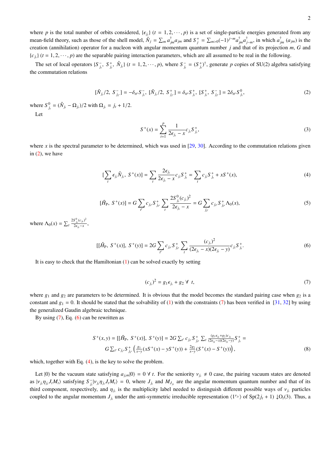where *p* is the total number of orbits considered,  $\{ \epsilon_{j_t} \}$   $(t = 1, 2, \dots, p)$  is a set of single-particle energies generated from any<br>mean field theory such as these of the shall model.  $\hat{N} = \sum_{i=1}^{n} \epsilon_{j}^{T}$ , and mean-field theory, such as those of the shell model,  $\hat{N}_j = \sum_m a_{jm}^{\dagger} a_{jm}$  and  $S_j^+ = \sum_{m>0} (-1)^{j-m} a_{jm}^{\dagger} a_{j-m}^{\dagger}$ , in which  $a_{jm}^{\dagger}$  ( $a_{jm}$ ) is the creation (annihilation) operator for a nucleon with angular momentum quantum number *j* and that of its projection *m*, *G* and  ${c_j}$   $(t = 1, 2, \dots, p)$  are the separable pairing interaction parameters, which are all assumed to be real in the following.

The set of local operators  $\{S_{j_t}^-, S_{j_t}^+, \hat{N}_{j_t}\}$   $(t = 1, 2, \dots, p)$ , where  $S_{j_t}^{\dagger} = (S_{j_t}^{\dagger})^{\dagger}$ , generate p copies of SU(2) algebra satisfying the commutation relations

$$
[\hat{N}_{j_{t}}/2, S_{j_{t'}}^{-}] = -\delta_{tt'} S_{j_{t}}^{-}, [\hat{N}_{j_{t}}/2, S_{j_{t'}}^{+}] = \delta_{tt'} S_{j_{t}}^{+}, [S_{j_{t}}^{+}, S_{j_{t'}}^{-}] = 2\delta_{tt'} S_{j_{t}}^{0},
$$
\n(2)

where  $S_{j_t}^0 = (\hat{N}_{j_t} - \Omega_{j_t})/2$  with  $\Omega_{j_t} = j_t + 1/2$ .

Let

$$
S^{+}(x) = \sum_{t=1}^{p} \frac{1}{2\epsilon_{j_t} - x} c_{j_t} S^{+}_{j_t},
$$
\n(3)

where *x* is the spectral parameter to be determined, which was used in  $[29, 30]$ . According to the commutation relations given in  $(2)$ , we have

$$
[\sum_{t} \epsilon_{j_{t}} \hat{N}_{j_{t}}, S^{+}(x)] = \sum_{t} \frac{2\epsilon_{j_{t}}}{2\epsilon_{j_{t}} - x} c_{j_{t}} S^{+}_{j_{t}} = \sum_{t} c_{j_{t}} S^{+}_{j_{t}} + x S^{+}(x),
$$
\n(4)

$$
[\hat{H}_{\mathrm{P}}, S^+(x)] = G \sum_{i'} c_{j_{i'}} S^+_{j_{i'}} \sum_{i} \frac{2S^0_{j_i}(c_{j_i})^2}{2\epsilon_{j_i} - x} = G \sum_{j_{i'}} c_{j_{i'}} S^+_{j_{i'}} \Lambda_0(x), \tag{5}
$$

where  $\Lambda_0(x) = \sum_t$  $2S_{j_t}^0(c_{j_t})^2$  $\frac{\partial f_i(e_j)}{\partial \epsilon_{j_t}-x}$ ,

$$
[[\hat{H}_{P}, S^{+}(x)], S^{+}(y)] = 2G \sum_{i'} c_{j_{i'}} S^{+}_{j_{i'}} \sum_{t} \frac{(c_{j_{t}})^{2}}{(2\epsilon_{j_{t}} - x)(2\epsilon_{j_{t}} - y)} c_{j_{t}} S^{+}_{j_{t}}.
$$
\n(6)

It is easy to check that the Hamiltonian (1) can be solved exactly by setting

$$
(c_{j_i})^2 = g_1 \epsilon_{j_i} + g_2 \forall t,
$$
\n<sup>(7)</sup>

where  $g_1$  and  $g_2$  are parameters to be determined. It is obvious that the model becomes the standard pairing case when  $g_2$  is a constant and  $g_1 = 0$ . It should be stated that the solvability of (1) with the constraints (7) has been verified in [31, 32] by using the generalized Gaudin algebraic technique.

By using  $(7)$ , Eq.  $(6)$  can be rewritten as

$$
S^{+}(x, y) = [[\hat{H}_{P}, S^{+}(x)], S^{+}(y)] = 2G \sum_{t'} c_{j_{t'}} S^{+}_{j_{t'}} \sum_{t} \frac{(g_{1} \epsilon_{j_{t}} + g_{2}) c_{j_{t}}}{(2\epsilon_{j_{t}} - x)(2\epsilon_{j_{t}} - y)} S^{+}_{j_{t}} =
$$
  
\n
$$
G \sum_{t'} c_{j_{t'}} S^{+}_{j_{t'}} \left( \frac{g_{1}}{x - y}(xS^{+}(x) - yS^{+}(y)) + \frac{2g_{2}}{x - y}(S^{+}(x) - S^{+}(y)) \right),
$$
\n(8)

which, together with Eq. (4), is the key to solve the problem.

Let  $|0\rangle$  be the vacuum state satisfying  $a_{j,m}|0\rangle = 0$   $\forall$  *t*. For the seniority  $v_j \neq 0$  case, the pairing vacuum states are denoted as  $|v_{j_i}\eta_{j_i}J_tM_t\rangle$  satisfying  $S_{j_i}^{-1}|v_{j_i}\eta_{j_i}J_tM_t\rangle = 0$ , where  $J_{j_i}$  and  $M_{J_{j_i}}$  are the angular momentum quantum number and that of its<br>third component recreatively and n is the multiplicity lebel pooded to d third component, respectively, and  $\eta_j$  is the multiplicity label needed to distinguish different possible ways of  $v_j$  particles coupled to the angular momentum  $J_{j_t}$  under the anti-symmetric irreducible representation  $\langle 1^{y_i} \rangle$  of  $Sp(2j_t + 1) \downarrow O_t(3)$ . Thus, a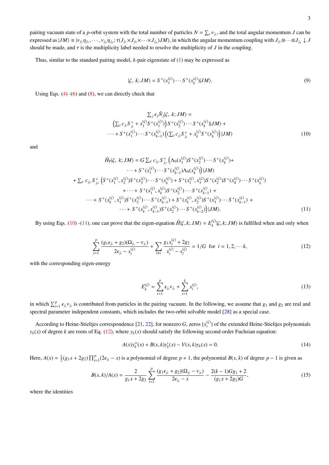pairing vacuum state of a *p*-orbit system with the total number of particles  $N = \sum_t v_{j,t}$ , and the total angular momentum *J* can be a proposed as  $[M] = |u|$ expressed as  $|JM\rangle \equiv |v_{j_1}\eta_{j_1},\dots,v_{j_p}\eta_{j_p}; \tau(J_{j_1}\times J_{j_2}\times\cdots\times J_{j_p})JM\rangle$ , in which the angular momentum coupling with  $J_{j_1}\otimes\cdots\otimes J_{j_p}\downarrow J$ <br>should be made, and rise the multiplicity label needed to resolve the multi should be made, and  $\tau$  is the multiplicity label needed to resolve the multiplicity of *J* in the coupling.

Thus, similar to the standard pairing model, *k*-pair eigenstate of (1) may be expressed as

$$
|\zeta, k; JM\rangle = S^+(x_1^{(\zeta)}) \cdots S^+(x_k^{(\zeta)}) |JM\rangle. \tag{9}
$$

Using Eqs.  $(4)$  - $(6)$  and  $(8)$ , we can directly check that

$$
\sum_{j} \epsilon_{j} \hat{N}_{j} | \zeta, \ k; JM \rangle =
$$
\n
$$
\left( \sum_{t} c_{j_{t}} S_{j_{t}}^{+} + x_{1}^{(\zeta)} S^{+}(x_{1}^{(\zeta)}) \right) S^{+}(x_{2}^{(\zeta)}) \cdots S^{+}(x_{k}^{(\zeta)}) | JM \rangle +
$$
\n
$$
\cdots + S^{+}(x_{1}^{(\zeta)}) \cdots S^{+}(x_{k-1}^{(\zeta)}) \left( (\sum_{t} c_{j_{t}} S_{j_{t}}^{+} + x_{k}^{(\zeta)} S^{+}(x_{k}^{(\zeta)}) \right) | JM \rangle
$$
\n
$$
(10)
$$

and

$$
\hat{H}_{P}|\zeta, k; JM\rangle = G \sum_{t'} c_{j_{t'}} S_{j_{t'}}^+ \left( \Lambda_0(x_1^{(\zeta)}) S^+(x_2^{(\zeta)}) \cdots S^+(x_k^{(\zeta)}) + \right. \\
 \left. \qquad \qquad \cdots + S^+(x_1^{(\zeta)}) \cdots S^+(x_{k-1}^{(\zeta)}) \Lambda_0(x_k^{(\zeta)}) \right) |JM\rangle \\
+ \sum_{t'} c_{j_{t'}} S_{j_{t'}}^+ \left( S^+(x_1^{(\zeta)}, x_2^{(\zeta)}) S^+(x_3^{(\zeta)}) \cdots S^+(x_k^{(\zeta)}) + S^+(x_1^{(\zeta)}, x_3^{(\zeta)}) S^+(x_2^{(\zeta)}) S^+(x_4^{(\zeta)}) \cdots S^+(x_k^{(\zeta)}) + \cdots + S^+(x_k^{(\zeta)}, x_k^{(\zeta)}) S^+(x_2^{(\zeta)}) \cdots S^+(x_{k-1}^{(\zeta)}) + \right. \\
 \left. \qquad \qquad \cdots + S^+(x_k^{(\zeta)}, x_1^{(\zeta)}) S^+(x_2^{(\zeta)}) \cdots S^+(x_k^{(\zeta)}) S^+(x_2^{(\zeta)}) S^+(x_3^{(\zeta)}) \cdots S^+(x_{k-1}^{(\zeta)}) + \right. \\
 \left. \qquad \qquad \cdots + S^+(x_k^{(\zeta)}, x_k^{(\zeta)}) S^+(x_2^{(\zeta)}) \cdots S^+(x_{k-2}^{(\zeta)}) \right) |JM\rangle.
$$
\n(11)

By using Eqs. (10) -(11), one can prove that the eigen-equation  $\hat{H}|\zeta, k; JM\rangle = E_k^{(\zeta)}|\zeta, k; JM\rangle$  is fulfilled when and only when

$$
\sum_{t=1}^{p} \frac{(g_1 \epsilon_{j_t} + g_2)(\Omega_{j_t} - \nu_{j_t})}{2\epsilon_{j_t} - x_i^{(\zeta)}} + \sum_{l \neq i} \frac{g_1 x_l^{(\zeta)} + 2g_2}{x_i^{(\zeta)} - x_l^{(\zeta)}} = 1/G \text{ for } i = 1, 2, \dots k,
$$
\n(12)

with the corresponding eigen-energy

$$
E_k^{(\zeta)} = \sum_{t=1}^p \epsilon_{j_t} \nu_{j_t} + \sum_{i=1}^k x_i^{(\zeta)}, \tag{13}
$$

in which  $\sum_{i=1}^{p} \epsilon_{j_i} v_{j_i}$  is contributed from particles in the pairing vacuum. In the following, we assume that  $g_1$  and  $g_2$  are real and approximation independent constants, which includes the two orbit solvabl spectral parameter independent constants, which includes the two-orbit solvable model [28] as a special case.

According to Heine-Stieltjes correspondence [21, 22], for nonzero *G*, zeros { $x_i^{(\zeta)}$ } of the extended Heine-Stieltjes polynomials  $y_k(x)$  of degree *k* are roots of Eq. (12), where  $y_k(x)$  should satisfy the following second-order Fuchsian equation:

$$
A(x)y_k''(x) + B(x,k)y_k'(x) - V(x,k)y_k(x) = 0.
$$
\n(14)

Here,  $A(x) = \frac{1}{2}(g_1x + 2g_2) \prod_{t=1}^p (2\epsilon_{j_t} - x)$  is a polynomial of degree  $p + 1$ , the polynomial  $B(x, k)$  of degree  $p - 1$  is given as

$$
B(x,k)/A(x) = \frac{2}{g_1x + 2g_2} \sum_{t=1}^{p} \frac{(g_1\epsilon_{j_t} + g_2)(\Omega_{j_t} - \nu_{j_t})}{2\epsilon_{j_t} - x} - \frac{2(k-1)Gg_1 + 2}{(g_1x + 2g_2)G},\tag{15}
$$

where the identities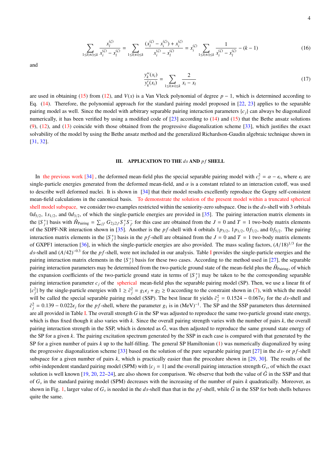$$
\sum_{1 \le l(\neq i) \le k} \frac{x_l^{(\zeta)}}{x_i^{(\zeta)} - x_l^{(\zeta)}} = \sum_{1 \le l(\neq i) \le k} \frac{(x_l^{(\zeta)} - x_i^{(\zeta)}) + x_i^{(\zeta)}}{x_i^{(\zeta)} - x_l^{(\zeta)}} = x_i^{(\zeta)} \sum_{1 \le l(\neq i) \le k} \frac{1}{x_i^{(\zeta)} - x_l^{(\zeta)}} - (k - 1) \tag{16}
$$

and

$$
\frac{y_k''(x_i)}{y_k'(x_i)} = \sum_{1 \le l(\neq i) \le k} \frac{2}{x_i - x_l} \tag{17}
$$

are used in obtaining (15) from (12), and  $V(x)$  is a Van Vleck polynomial of degree  $p - 1$ , which is determined according to Eq. (14). Therefore, the polynomial approach for the standard pairing model proposed in [22, 23] applies to the separable pairing model as well. Since the model with arbitrary separable pairing interaction parameters  $\{c_i\}$  can always be diagonalized numerically, it has been verified by using a modified code of  $[23]$  according to  $(14)$  and  $(15)$  that the Bethe ansatz solutions  $(9)$ ,  $(12)$ , and  $(13)$  coincide with those obtained from the progressive diagonalization scheme  $[33]$ , which justifies the exact solvability of the model by using the Bethe ansatz method and the generalized Richardson-Gaudin algebraic technique shown in [31, 32].

### III. APPLICATION TO THE *ds* AND *p f* SHELL

In the previous work [34], the deformed mean-field plus the special separable pairing model with  $c_i^2 = \alpha - \epsilon_i$ , where  $\epsilon_i$  are ready partials approving congress are expected from the deformed mean field and *n* is a cons single-particle energies generated from the deformed mean-field, and  $\alpha$  is a constant related to an interaction cutoff, was used to describe well deformed nuclei. It is shown in [34] that their model results excellently reproduce the Gogny self-consistent mean-field calculations in the canonical basis. To demonstrate the solution of the present model within a truncated spherical shell model subspace, we consider two examples restricted within the seniority-zero subspace. One is the *ds*-shell with 3 orbitals  $0d_{5/2}$ ,  $1s_{1/2}$ , and  $0d_{3/2}$ , of which the single-particle energies are provided in [35]. The pairing interaction matrix elements in the  $\{S_j^+\}$  basis with  $\hat{H}_{\text{Pairing}} = \sum_{j,j'} G_{2j,2j'} S_j^+ S_j^-$  for this case are obtained from the  $J = 0$  and  $T = 1$  two-body matrix elements of the SDPF-NR interaction shown in [35]. Another is the *pf*-shell with 4 orbitals  $1p_{3/2}$ ,  $1p_{1/2}$ ,  $0f_{7/2}$ , and  $0f_{5/2}$ . The pairing interaction matrix elements in the  ${S_j^+}$  basis in the *pf*-shell are obtained from the  $J = 0$  and  $T = 1$  two-body matrix elements of GXPF1 interaction [36], in which the single-particle energies are also provided. The mass scaling factors,  $(A/18)^{1/3}$  for the dependent of the single particle energies and the single particle energies and the *ds*-shell and (*A*/42)<sup>−0.3</sup> for the *p f*-shell, were not included in our analysis. Table I provides the single-particle energies and the provides interesting provides the properties interesting above the form the singl pairing interaction matrix elements in the  ${S_j^+}$  basis for these two cases. According to the method used in [27], the separable pairing interaction parameters may be determined from the two-particle ground state of the mean-field plus the  $\hat{H}_{\text{Pairing}}$ , of which the expansion coefficients of the two-particle ground state in terms of  ${S_j^+}$  may be taken to be the corresponding separable pairing interaction parameter  $c_j$  of the spherical mean-field plus the separable pairing model (SP). Then, we use a linear fit of  ${c_j^2}$  by the single-particle energies with  $1 \ge \tilde{c}_j^2 = g_1 \epsilon_j + g_2 \ge 0$  according to the constraint shown in (7), with which the model<br>will be selled the consistences particle pointing model (SSD). The best linear fit will be called the special separable pairing model (SSP). The best linear fit yields  $\tilde{c}_j^2 = 0.1524 - 0.067\epsilon_j$  for the *ds*-shell and  $\tilde{c}_j^2 = 0.1524 - 0.067\epsilon_j$  for the *ds*-shell and  $\tilde{c}_j^2 = 0.1524 - 0.067\epsilon_j$   $\tilde{c}_j^2 = 0.139 - 0.022\epsilon_j$  for the *p f*-shell, where the parameter *g*<sub>1</sub> is in (MeV)<sup>−1</sup>. The SP and the SSP parameters thus determined are all provided in Table I. The overall strength *G* in the SP was adjusted to reproduce the same two-particle ground state energy, which is thus fixed though it also varies with *k*. Since the overall pairing strength varies with the number of pairs *k*, the overall pairing interaction strength in the SSP, which is denoted as  $\tilde{G}$ , was then adjusted to reproduce the same ground state energy of the SP for a given *k*. The pairing excitation spectrum generated by the SSP in each case is compared with that generated by the SP for a given number of pairs *k* up to the half-filling. The general SP Hamiltonian (1) was numerically diagonalized by using the progressive diagonalization scheme [33] based on the solution of the pure separable pairing part [27] in the *ds*- or *p f*-shell subspace for a given number of pairs *k*, which is practically easier than the procedure shown in [29, 30]. The results of the orbit-independent standard pairing model (SPM) with  ${c_j = 1}$  and the overall pairing interaction strength  $G_s$ , of which the exact solution is well known  $[19, 20, 22-24]$ , are also shown for comparison. We observe that both the value of  $\tilde{G}$  in the SSP and that of *G<sup>s</sup>* in the standard pairing model (SPM) decreases with the increasing of the number of pairs *k* quadratically. Moreover, as shown in Fig. 1, larger value of  $G_s$  is needed in the *ds*-shell than that in the *pf*-shell, while  $\tilde{G}$  in the SSP for both shells behaves quite the same.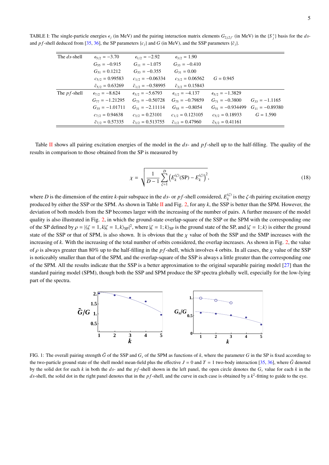TABLE I: The single-particle energies  $\epsilon_j$  (in MeV) and the pairing interaction matrix elements  $G_{2j,2j'}$  (in MeV) in the  $\{S_j^+\}$  basis for the *ds*-<br>and a forball deduced from [25, 26] the SD generators (a) and  $G$  ( and *pf*-shell deduced from [35, 36], the SP parameters { $c_j$ } and *G* (in MeV), and the SSP parameters { $\tilde{c}_j$ }.

| The ds-shell    | $\epsilon_{5/2} = -3.70$    | $\epsilon_{1/2} = -2.92$     | $\epsilon_{3/2} = 1.90$     |                             |                     |
|-----------------|-----------------------------|------------------------------|-----------------------------|-----------------------------|---------------------|
|                 | $G_{55} = -0.915$           | $G_{11} = -1.075$            | $G_{33} = -0.410$           |                             |                     |
|                 | $G_{51} = 0.1212$           | $G_{53} = -0.355$            | $G_{31} = 0.00$             |                             |                     |
|                 | $c_{5/2} = 0.99583$         | $c_{1/2} = -0.06334$         | $c_{3/2} = 0.06562$         | $G = 0.945$                 |                     |
|                 | $\tilde{c}_{5/2} = 0.63269$ | $\tilde{c}_{1/2} = -0.58995$ | $\tilde{c}_{3/2} = 0.15843$ |                             |                     |
| The $pf$ -shell | $\epsilon_{7/2} = -8.624$   | $\epsilon_{3/2} = -5.6793$   | $\epsilon_{1/2} = -4.137$   | $\epsilon_{5/2} = -1.3829$  |                     |
|                 | $G_{77} = -1.21295$         | $G_{73} = -0.50728$          | $G_{75} = -0.79859$         | $G_{71} = -0.3800$          | $G_{33} = -1.1165$  |
|                 | $G_{35} = -1.01711$         | $G_{31} = -2.11114$          | $G_{55} = -0.8054$          | $G_{51} = -0.934499$        | $G_{11} = -0.89380$ |
|                 | $c_{7/2} = 0.94638$         | $c_{3/2} = 0.23101$          | $c_{1/2} = 0.123105$        | $c_{5/2} = 0.18933$         | $G = 1.590$         |
|                 | $\tilde{c}_{7/2} = 0.57335$ | $\tilde{c}_{3/2} = 0.513755$ | $\tilde{c}_{1/2} = 0.47960$ | $\tilde{c}_{5/2} = 0.41161$ |                     |
|                 |                             |                              |                             |                             |                     |

Table II shows all pairing excitation energies of the model in the *ds*- and *pf*-shell up to the half-filling. The quality of the results in comparison to those obtained from the SP is measured by

$$
\chi = \sqrt{\frac{1}{D-1} \sum_{\zeta=1}^{D} \left( E_{k}^{(\zeta)}(\text{SP}) - E_{k}^{(\zeta)} \right)^{2}},\tag{18}
$$

where *D* is the dimension of the entire *k*-pair subspace in the *ds*- or *pf*-shell considered,  $E_k^{(\zeta)}$  is the  $\zeta$ -th pairing excitation energy<br>produced by either the SSD or the SDM. As charm in Table H and Eig. 2, produced by either the SSP or the SPM. As shown in Table II and Fig. 2, for any *k*, the SSP is better than the SPM. However, the deviation of both models from the SP becomes larger with the increasing of the number of pairs. A further measure of the model quality is also illustrated in Fig. 2, in which the ground-state overlap-square of the SSP or the SPM with the corresponding one of the SP defined by  $\rho = |\zeta = 1, k|\zeta = 1, k\rangle_{SP}|^2$ , where  $|\zeta = 1; k\rangle_{SP}$  is the ground state of the SP, and  $|\zeta = 1; k\rangle$  is either the ground<br>state of the SSP and the SSP is the state of SPM, is also above. It is abstisus state of the SSP or that of SPM, is also shown. It is obvious that the  $\chi$  value of both the SSP and the SMP increases with the increasing of *k*. With the increasing of the total number of orbits considered, the overlap increases. As shown in Fig. 2, the value of  $\rho$  is always greater than 80% up to the half-filling in the *pf*-shell, which involves 4 orbits. In all cases, the  $\chi$  value of the SSP is noticeably smaller than that of the SPM, and the overlap-square of the SSP is always a little greater than the corresponding one of the SPM. All the results indicate that the SSP is a better approximation to the original separable pairing model [27] than the standard pairing model (SPM), though both the SSP and SPM produce the SP spectra globally well, especially for the low-lying part of the spectra.



FIG. 1: The overall pairing strength  $\tilde{G}$  of the SSP and  $G_s$  of the SPM as functions of  $k$ , where the parameter *G* in the SP is fixed according to the two-particle ground state of the shell model mean-field plus the effective  $J = 0$  and  $T = 1$  two-body interaction [35, 36], where  $\tilde{G}$  denoted by the solid dot for each  $k$  in both the  $ds$ - and the  $pf$ -shell shown in the left panel, the open circle denotes the  $G_s$  value for each  $k$  in the *ds*-shell, the solid dot in the right panel denotes that in the *pf*-shell, and the curve in each case is obtained by a  $k^2$ -fitting to guide to the eye.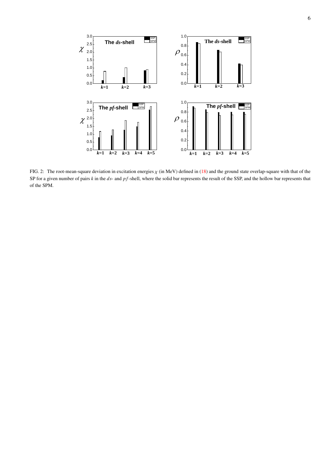

FIG. 2: The root-mean-square deviation in excitation energies  $\chi$  (in MeV) defined in (18) and the ground state overlap-square with that of the SP for a given number of pairs *k* in the *ds*- and *p f*-shell, where the solid bar represents the result of the SSP, and the hollow bar represents that of the SPM.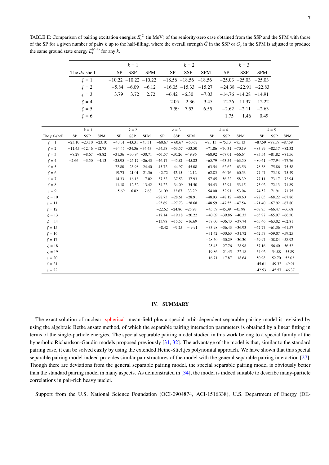7

TABLE II: Comparison of pairing excitation energies  $E_k^{(\zeta)}$  (in MeV) of the seniority-zero case obtained from the SSP and the SPM with those of the SP for a given number of pairs  $k$  up to the half-filling, where the overall strength  $\tilde{G}$  in the SSP or  $G_s$  in the SPM is adjusted to produce the same ground state energy  $E_k^{(\zeta=1)}$  for any *k*.

|              |                          | $k=1$                   |            |                          | $k=2$      |                         |                                                       | $k=3$                   |            |
|--------------|--------------------------|-------------------------|------------|--------------------------|------------|-------------------------|-------------------------------------------------------|-------------------------|------------|
| The ds-shell | SP.                      | <b>SSP</b>              | <b>SPM</b> | SP -                     | <b>SSP</b> | <b>SPM</b>              | <b>SP</b>                                             | <b>SSP</b>              | <b>SPM</b> |
| $\zeta = 1$  | $-10.22 - 10.22 - 10.22$ |                         |            | $-18.56 - 18.56 - 18.56$ |            |                         | $-25.03$ $-25.03$ $-25.03$                            |                         |            |
| $\zeta = 2$  |                          | $-5.84$ $-6.09$ $-6.12$ |            |                          |            |                         | $-16.05$ $-15.33$ $-15.27$ $-24.38$ $-22.91$ $-22.83$ |                         |            |
| $\zeta = 3$  | 3.79                     | 3.72                    | 2.72       |                          |            | $-6.42$ $-6.30$ $-7.03$ | $-14.76$ $-14.28$ $-14.91$                            |                         |            |
| $\zeta = 4$  |                          |                         |            |                          |            | $-2.05$ $-2.36$ $-3.45$ | $-12.26$ $-11.37$ $-12.22$                            |                         |            |
| $\zeta = 5$  |                          |                         |            | 7.59                     | 7.53       | 6.55                    |                                                       | $-2.62$ $-2.11$ $-2.63$ |            |
| $\zeta = 6$  |                          |                         |            |                          |            |                         | 1.75                                                  | 1.46                    | 0.49       |

|                 | $k=1$   |                            |                            | $k = 2$                |            |                            | $k = 3$                                               |                            |                |    | $k = 4$                    |            |    | $k=5$                      |            |  |
|-----------------|---------|----------------------------|----------------------------|------------------------|------------|----------------------------|-------------------------------------------------------|----------------------------|----------------|----|----------------------------|------------|----|----------------------------|------------|--|
| The $pf$ -shell | SP      | <b>SSP</b>                 | <b>SPM</b>                 | SP                     | <b>SSP</b> | <b>SPM</b>                 | SP                                                    | <b>SSP</b>                 | <b>SPM</b>     | SP | SSP                        | <b>SPM</b> | SP | SSP                        | <b>SPM</b> |  |
| $\zeta = 1$     |         |                            | $-23.10$ $-23.10$ $-23.10$ | $-43.31 -43.31 -43.31$ |            |                            |                                                       | $-60.67 - 60.67 - 60.67$   |                |    | $-75.13$ $-75.13$ $-75.13$ |            |    | $-87.59 - 87.59 - 87.59$   |            |  |
| $\zeta = 2$     |         | $-11.45$ $-12.46$ $-12.75$ |                            |                        |            | $-34.45$ $-34.36$ $-34.43$ |                                                       | $-54.58$ $-53.57$ $-53.50$ |                |    | $-71.86$ $-70.31$ $-70.19$ |            |    | $-83.99$ $-82.17$ $-82.32$ |            |  |
| $\zeta = 3$     |         | $-8.29 -8.67 -8.82$        |                            |                        |            |                            | $-31.36$ $-30.84$ $-30.71$ $-51.57$ $-50.26$ $-49.96$ |                            |                |    | $-68.92$ $-67.01$ $-66.64$ |            |    | $-83.54$ $-81.82$ $-81.56$ |            |  |
| $\zeta = 4$     | $-2.66$ |                            | $-3.50 -4.13$              |                        |            |                            | $-25.95$ $-26.17$ $-26.43$ $-46.17$ $-45.81$ $-45.83$ |                            |                |    | $-65.79$ $-63.54$ $-63.50$ |            |    | $-80.61$ $-77.94$ $-77.76$ |            |  |
| $\zeta = 5$     |         |                            |                            |                        |            |                            | $-22.80$ $-23.98$ $-24.40$ $-45.72$ $-44.97$ $-45.08$ |                            |                |    | $-63.54$ $-62.62$ $-63.56$ |            |    | $-78.38$ $-75.86$ $-75.58$ |            |  |
| $\zeta = 6$     |         |                            |                            |                        |            |                            | $-19.73$ $-21.01$ $-21.36$ $-42.72$ $-42.15$ $-42.12$ |                            |                |    | $-62.85$ $-60.76$ $-60.53$ |            |    | $-77.47$ $-75.18$ $-75.49$ |            |  |
| $\zeta = 7$     |         |                            |                            |                        |            |                            | $-14.33$ $-16.18$ $-17.02$ $-37.32$ $-37.53$ $-37.93$ |                            |                |    | $-57.45$ $-56.22$ $-58.39$ |            |    | $-77.11$ $-73.17$ $-72.94$ |            |  |
| $\zeta = 8$     |         |                            |                            |                        |            |                            | $-11.18$ $-12.52$ $-13.42$ $-34.22$ $-34.09$ $-34.50$ |                            |                |    | $-54.43$ $-52.94$ $-53.15$ |            |    | $-75.02$ $-72.13$ $-71.89$ |            |  |
| $\zeta = 9$     |         |                            |                            |                        |            | $-5.69$ $-6.82$ $-7.68$    |                                                       | $-31.09$ $-32.67$ $-33.29$ |                |    | $-54.00$ $-52.91$ $-53.04$ |            |    | $-74.52$ $-71.91$ $-71.75$ |            |  |
| $\zeta = 10$    |         |                            |                            |                        |            |                            |                                                       | $-28.73$ $-28.61$ $-28.91$ |                |    | $-48.93$ $-48.12$ $-48.60$ |            |    | $-72.05$ $-68.22$ $-67.86$ |            |  |
| $\zeta = 11$    |         |                            |                            |                        |            |                            |                                                       | $-25.69$ $-27.73$ $-28.68$ |                |    | $-48.59$ $-47.55$ $-47.54$ |            |    | $-71.40 -67.92 -67.80$     |            |  |
| $\zeta = 12$    |         |                            |                            |                        |            |                            |                                                       | $-22.62$ $-24.86$ $-25.98$ |                |    | $-45.59$ $-45.39$ $-45.98$ |            |    | $-68.95$ $-66.47$ $-66.68$ |            |  |
| $\zeta = 13$    |         |                            |                            |                        |            |                            |                                                       | $-17.14$ $-19.18$ $-20.22$ |                |    | $-40.09$ $-39.86$ $-40.33$ |            |    | $-65.97 -65.97 -66.30$     |            |  |
| $\zeta = 14$    |         |                            |                            |                        |            |                            |                                                       | $-13.98$ $-15.57$ $-16.69$ |                |    | $-37.00$ $-36.43$ $-37.74$ |            |    | $-65.46$ $-63.02$ $-62.81$ |            |  |
| $\zeta = 15$    |         |                            |                            |                        |            |                            | $-8.42$                                               |                            | $-9.25 - 9.91$ |    | $-33.98$ $-36.43$ $-36.93$ |            |    | $-62.77$ $-61.36$ $-61.57$ |            |  |
| $\zeta = 16$    |         |                            |                            |                        |            |                            |                                                       |                            |                |    | $-31.42$ $-30.63$ $-31.72$ |            |    | $-62.57 -59.07 -59.25$     |            |  |
| $\zeta = 17$    |         |                            |                            |                        |            |                            |                                                       |                            |                |    | $-28.50$ $-30.29$ $-30.30$ |            |    | $-59.97 -58.84 -58.92$     |            |  |
| $\zeta = 18$    |         |                            |                            |                        |            |                            |                                                       |                            |                |    | $-25.43$ $-27.76$ $-28.98$ |            |    | $-57.16$ $-56.40$ $-56.52$ |            |  |
| $\zeta = 19$    |         |                            |                            |                        |            |                            |                                                       |                            |                |    | $-19.86$ $-21.45$ $-22.18$ |            |    | $-54.02$ $-54.88$ $-55.89$ |            |  |
| $\zeta = 20$    |         |                            |                            |                        |            |                            |                                                       |                            |                |    | $-16.71$ $-17.87$ $-18.64$ |            |    | $-50.98$ $-52.70$ $-53.03$ |            |  |
| $\zeta = 21$    |         |                            |                            |                        |            |                            |                                                       |                            |                |    |                            |            |    | $-45.61 - 49.32 - 49.91$   |            |  |
| $\zeta = 22$    |         |                            |                            |                        |            |                            |                                                       |                            |                |    |                            |            |    | $-42.53 - 45.57 - 46.37$   |            |  |

## IV. SUMMARY

The exact solution of nuclear spherical mean-field plus a special orbit-dependent separable pairing model is revisited by using the algebraic Bethe ansatz method, of which the separable pairing interaction parameters is obtained by a linear fitting in terms of the single-particle energies. The special separable pairing model studied in this work belong to a special family of the hyperbolic Richardson-Gaudin models proposed previously [31, 32]. The advantage of the model is that, similar to the standard pairing case, it can be solved easily by using the extended Heine-Stieltjes polynomial approach. We have shown that this special separable pairing model indeed provides similar pair structures of the model with the general separable pairing interaction [27]. Though there are deviations from the general separable pairing model, the special separable pairing model is obviously better than the standard pairing model in many aspects. As demonstrated in [34], the model is indeed suitable to describe many-particle correlations in pair-rich heavy nuclei.

Support from the U.S. National Science Foundation (OCI-0904874, ACI-1516338), U.S. Department of Energy (DE-